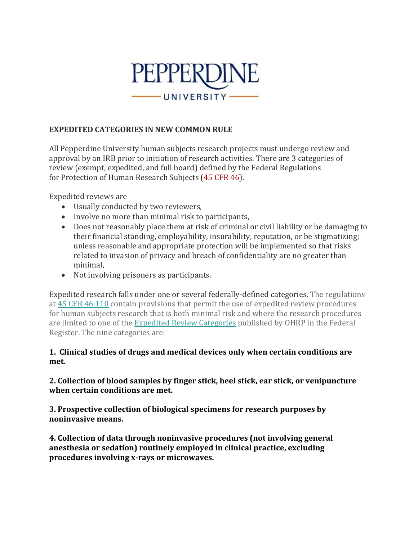

# **EXPEDITED CATEGORIES IN NEW COMMON RULE**

All Pepperdine University human subjects research projects must undergo review and approval by an IRB prior to initiation of research activities. There are 3 categories of review (exempt, expedited, and full board) defined by the Federal Regulations for Protection of Human Research Subjects (45 [CFR](http://www.hhs.gov/ohrp/regulations-and-policy/regulations/45-cfr-46/) 46).

Expedited reviews are

- Usually conducted by two reviewers,
- Involve no more than minimal risk to participants,
- Does not reasonably place them at risk of criminal or civil liability or be damaging to their financial standing, employability, insurability, reputation, or be stigmatizing; unless reasonable and appropriate protection will be implemented so that risks related to invasion of privacy and breach of confidentiality are no greater than minimal,
- Not involving prisoners as participants.

Expedited research falls under one or several federally-defined categories. The regulations at 45 CFR [46.110](http://www.hhs.gov/ohrp/humansubjects/guidance/45cfr46.html#46.110) contain provisions that permit the use of expedited review procedures for human subjects research that is both minimal risk and where the research procedures are limited to one of the Expedited Review [Categories](https://irb.research.chop.edu/sites/default/files/documents/expedited_review_categories-98.pdf) published by OHRP in the Federal Register. The nine categories are:

### **1. Clinical studies of drugs and medical devices only when certain conditions are met.**

### **2. Collection of blood samples by finger stick, heel stick, ear stick, or venipuncture when certain conditions are met.**

**3. Prospective collection of biological specimens for research purposes by noninvasive means.** 

**4. Collection of data through noninvasive procedures (not involving general anesthesia or sedation) routinely employed in clinical practice, excluding procedures involving x-rays or microwaves.**